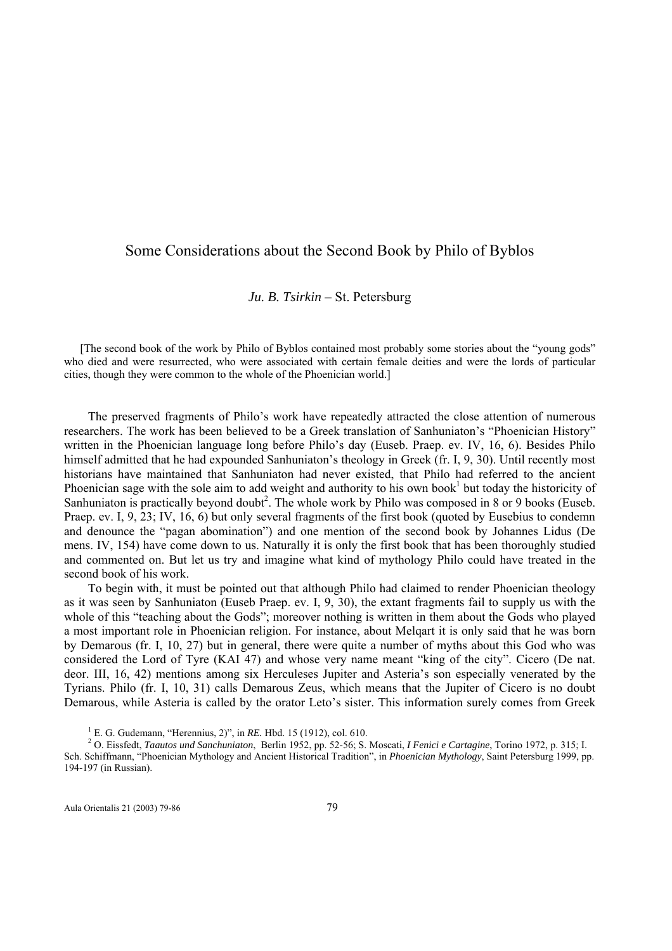## Some Considerations about the Second Book by Philo of Byblos

## *Ju. B. Tsirkin* – St. Petersburg

[The second book of the work by Philo of Byblos contained most probably some stories about the "young gods" who died and were resurrected, who were associated with certain female deities and were the lords of particular cities, though they were common to the whole of the Phoenician world.]

The preserved fragments of Philo's work have repeatedly attracted the close attention of numerous researchers. The work has been believed to be a Greek translation of Sanhuniaton's "Phoenician History" written in the Phoenician language long before Philo's day (Euseb. Praep. ev. IV, 16, 6). Besides Philo himself admitted that he had expounded Sanhuniaton's theology in Greek (fr. I, 9, 30). Until recently most historians have maintained that Sanhuniaton had never existed, that Philo had referred to the ancient Phoenician sage with the sole aim to add weight and authority to his own book $1$  but today the historicity of Sanhuniaton is practically beyond doubt<sup>2</sup>. The whole work by Philo was composed in 8 or 9 books (Euseb. Praep. ev. I, 9, 23; IV, 16, 6) but only several fragments of the first book (quoted by Eusebius to condemn and denounce the "pagan abomination") and one mention of the second book by Johannes Lidus (De mens. IV, 154) have come down to us. Naturally it is only the first book that has been thoroughly studied and commented on. But let us try and imagine what kind of mythology Philo could have treated in the second book of his work.

To begin with, it must be pointed out that although Philo had claimed to render Phoenician theology as it was seen by Sanhuniaton (Euseb Praep. ev. I, 9, 30), the extant fragments fail to supply us with the whole of this "teaching about the Gods"; moreover nothing is written in them about the Gods who played a most important role in Phoenician religion. For instance, about Melqart it is only said that he was born by Demarous (fr. I, 10, 27) but in general, there were quite a number of myths about this God who was considered the Lord of Tyre (KAI 47) and whose very name meant "king of the city". Cicero (De nat. deor. III, 16, 42) mentions among six Herculeses Jupiter and Asteria's son especially venerated by the Tyrians. Philo (fr. I, 10, 31) calls Demarous Zeus, which means that the Jupiter of Cicero is no doubt Demarous, while Asteria is called by the orator Leto's sister. This information surely comes from Greek

<sup>1</sup> E. G. Gudemann, "Herennius, 2)", in *RE.* Hbd. 15 (1912), col. 610.

 O. Eissfedt, *Taautos und Sanchuniaton*, Berlin 1952, pp. 52-56; S. Moscati, *I Fenici e Cartagine*, Torino 1972, p. 315; I. Sch. Schiffmann, "Phoenician Mythology and Ancient Historical Tradition", in *Phoenician Mythology*, Saint Petersburg 1999, pp. 194-197 (in Russian).

Aula Orientalis 21 (2003) 79-86 79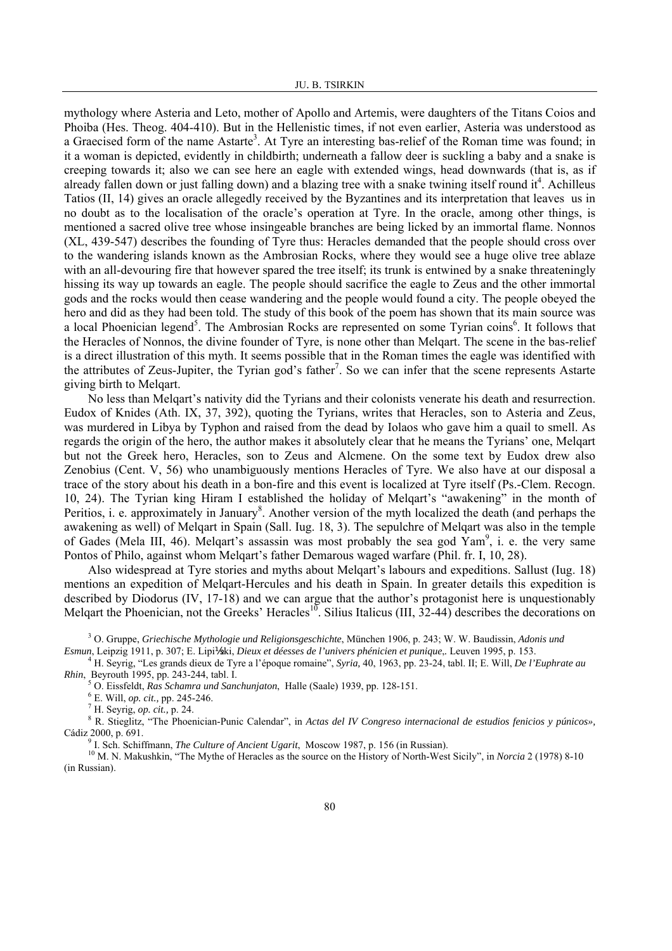mythology where Asteria and Leto, mother of Apollo and Artemis, were daughters of the Titans Coios and Phoiba (Hes. Theog. 404-410). But in the Hellenistic times, if not even earlier, Asteria was understood as a Graecised form of the name Astarte<sup>3</sup>. At Tyre an interesting bas-relief of the Roman time was found; in it a woman is depicted, evidently in childbirth; underneath a fallow deer is suckling a baby and a snake is creeping towards it; also we can see here an eagle with extended wings, head downwards (that is, as if already fallen down or just falling down) and a blazing tree with a snake twining itself round  $it<sup>4</sup>$ . Achilleus Tatios (II, 14) gives an oracle allegedly received by the Byzantines and its interpretation that leaves us in no doubt as to the localisation of the oracle's operation at Tyre. In the oracle, among other things, is mentioned a sacred olive tree whose insingeable branches are being licked by an immortal flame. Nonnos (XL, 439-547) describes the founding of Tyre thus: Heracles demanded that the people should cross over to the wandering islands known as the Ambrosian Rocks, where they would see a huge olive tree ablaze with an all-devouring fire that however spared the tree itself; its trunk is entwined by a snake threateningly hissing its way up towards an eagle. The people should sacrifice the eagle to Zeus and the other immortal gods and the rocks would then cease wandering and the people would found a city. The people obeyed the hero and did as they had been told. The study of this book of the poem has shown that its main source was a local Phoenician legend<sup>5</sup>. The Ambrosian Rocks are represented on some Tyrian coins<sup>6</sup>. It follows that the Heracles of Nonnos, the divine founder of Tyre, is none other than Melqart. The scene in the bas-relief is a direct illustration of this myth. It seems possible that in the Roman times the eagle was identified with the attributes of Zeus-Jupiter, the Tyrian god's father<sup>7</sup>. So we can infer that the scene represents Astarte giving birth to Melqart.

No less than Melqart's nativity did the Tyrians and their colonists venerate his death and resurrection. Eudox of Knides (Ath. IX, 37, 392), quoting the Tyrians, writes that Heracles, son to Asteria and Zeus, was murdered in Libya by Typhon and raised from the dead by Iolaos who gave him a quail to smell. As regards the origin of the hero, the author makes it absolutely clear that he means the Tyrians' one, Melqart but not the Greek hero, Heracles, son to Zeus and Alcmene. On the some text by Eudox drew also Zenobius (Cent. V, 56) who unambiguously mentions Heracles of Tyre. We also have at our disposal a trace of the story about his death in a bon-fire and this event is localized at Tyre itself (Ps.-Clem. Recogn. 10, 24). The Tyrian king Hiram I established the holiday of Melqart's "awakening" in the month of Peritios, i. e. approximately in January<sup>8</sup>. Another version of the myth localized the death (and perhaps the awakening as well) of Melqart in Spain (Sall. Iug. 18, 3). The sepulchre of Melqart was also in the temple of Gades (Mela III, 46). Melqart's assassin was most probably the sea god  $\text{Yam}^9$ , i. e. the very same Pontos of Philo, against whom Melqart's father Demarous waged warfare (Phil. fr. I, 10, 28).

Also widespread at Tyre stories and myths about Melqart's labours and expeditions. Sallust (Iug. 18) mentions an expedition of Melqart-Hercules and his death in Spain. In greater details this expedition is described by Diodorus (IV, 17-18) and we can argue that the author's protagonist here is unquestionably Melgart the Phoenician, not the Greeks' Heracles<sup>10</sup>. Silius Italicus (III,  $32-44$ ) describes the decorations on

3 O. Gruppe, *Griechische Mythologie und Religionsgeschichte*, München 1906, p. 243; W. W. Baudissin, *Adonis und Esmun*, Leipzig 1911, p. 307; E. Lipi½ski, *Dieux et déesses de l'univers phénicien et punique*,*.* Leuven 1995, p. 153. 4

 H. Seyrig, "Les grands dieux de Tyre a l'époque romaine", *Syria,* 40, 1963, pp. 23-24, tabl. II; E. Will, *De l'Euphrate au Rhin*, Beyrouth 1995, pp. 243-244, tabl. I.

<sup>5</sup> O. Eissfeldt, *Ras Schamra und Sanchunjaton*, Halle (Saale) 1939, pp. 128-151.

E. Will, *op. cit.,* pp. 245-246. 7

H. Seyrig, *op. cit.,* p. 24. 8

 R. Stieglitz, "The Phoenician-Punic Calendar", in *Actas del IV Congreso internacional de estudios fenicios y púnicos»,* Cádiz 2000, p. 691.<br><sup>9</sup> I. Sch. Schiffmann, *The Culture of Ancient Ugarit*, Moscow 1987, p. 156 (in Russian).

<sup>10</sup> M. N. Makushkin, "The Mythe of Heracles as the source on the History of North-West Sicily", in *Norcia* 2 (1978) 8-10 (in Russian).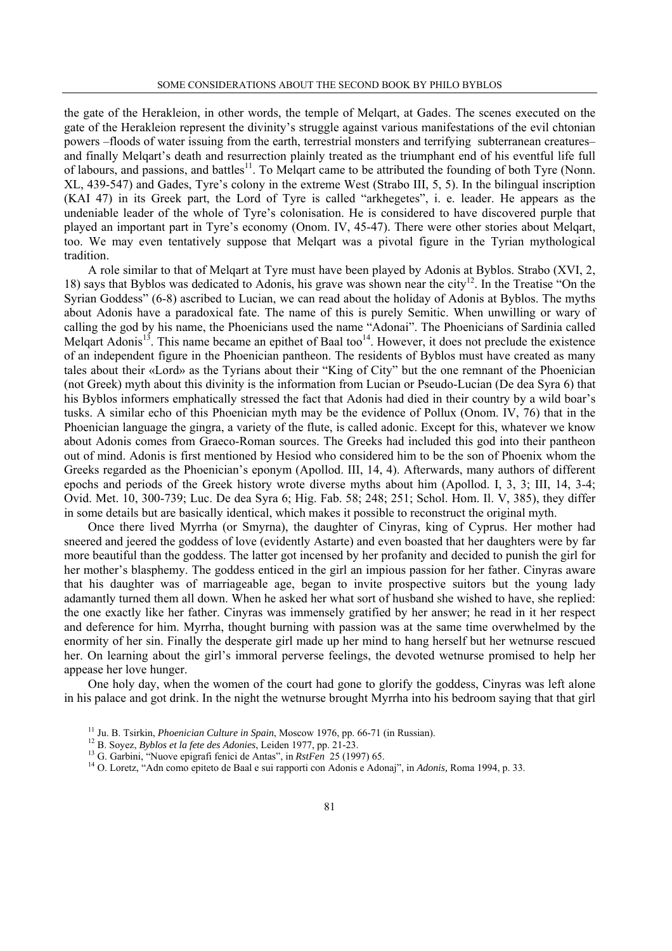the gate of the Herakleion, in other words, the temple of Melqart, at Gades. The scenes executed on the gate of the Herakleion represent the divinity's struggle against various manifestations of the evil chtonian powers –floods of water issuing from the earth, terrestrial monsters and terrifying subterranean creatures– and finally Melqart's death and resurrection plainly treated as the triumphant end of his eventful life full of labours, and passions, and battles<sup>11</sup>. To Melqart came to be attributed the founding of both Tyre (Nonn. XL, 439-547) and Gades, Tyre's colony in the extreme West (Strabo III, 5, 5). In the bilingual inscription (KAI 47) in its Greek part, the Lord of Tyre is called "arkhegetes", i. e. leader. He appears as the undeniable leader of the whole of Tyre's colonisation. He is considered to have discovered purple that played an important part in Tyre's economy (Onom. IV, 45-47). There were other stories about Melqart, too. We may even tentatively suppose that Melqart was a pivotal figure in the Tyrian mythological tradition.

A role similar to that of Melqart at Tyre must have been played by Adonis at Byblos. Strabo (XVI, 2, 18) says that Byblos was dedicated to Adonis, his grave was shown near the city12. In the Treatise "On the Syrian Goddess" (6-8) ascribed to Lucian, we can read about the holiday of Adonis at Byblos. The myths about Adonis have a paradoxical fate. The name of this is purely Semitic. When unwilling or wary of calling the god by his name, the Phoenicians used the name "Adonai". The Phoenicians of Sardinia called Melqart Adonis<sup>13</sup>. This name became an epithet of Baal too<sup>14</sup>. However, it does not preclude the existence of an independent figure in the Phoenician pantheon. The residents of Byblos must have created as many tales about their «Lord» as the Tyrians about their "King of City" but the one remnant of the Phoenician (not Greek) myth about this divinity is the information from Lucian or Pseudo-Lucian (De dea Syra 6) that his Byblos informers emphatically stressed the fact that Adonis had died in their country by a wild boar's tusks. A similar echo of this Phoenician myth may be the evidence of Pollux (Onom. IV, 76) that in the Phoenician language the gingra, a variety of the flute, is called adonic. Except for this, whatever we know about Adonis comes from Graeco-Roman sources. The Greeks had included this god into their pantheon out of mind. Adonis is first mentioned by Hesiod who considered him to be the son of Phoenix whom the Greeks regarded as the Phoenician's eponym (Apollod. III, 14, 4). Afterwards, many authors of different epochs and periods of the Greek history wrote diverse myths about him (Apollod. I, 3, 3; III, 14, 3-4; Ovid. Met. 10, 300-739; Luc. De dea Syra 6; Hig. Fab. 58; 248; 251; Schol. Hom. Il. V, 385), they differ in some details but are basically identical, which makes it possible to reconstruct the original myth.

Once there lived Myrrha (or Smyrna), the daughter of Cinyras, king of Cyprus. Her mother had sneered and jeered the goddess of love (evidently Astarte) and even boasted that her daughters were by far more beautiful than the goddess. The latter got incensed by her profanity and decided to punish the girl for her mother's blasphemy. The goddess enticed in the girl an impious passion for her father. Cinyras aware that his daughter was of marriageable age, began to invite prospective suitors but the young lady adamantly turned them all down. When he asked her what sort of husband she wished to have, she replied: the one exactly like her father. Cinyras was immensely gratified by her answer; he read in it her respect and deference for him. Myrrha, thought burning with passion was at the same time overwhelmed by the enormity of her sin. Finally the desperate girl made up her mind to hang herself but her wetnurse rescued her. On learning about the girl's immoral perverse feelings, the devoted wetnurse promised to help her appease her love hunger.

One holy day, when the women of the court had gone to glorify the goddess, Cinyras was left alone in his palace and got drink. In the night the wetnurse brought Myrrha into his bedroom saying that that girl

<sup>11</sup> Ju. B. Tsirkin, *Phoenician Culture in Spain*, Moscow 1976, pp. 66-71 (in Russian).<br><sup>12</sup> B. Soyez, *Byblos et la fete des Adonies*, Leiden 1977, pp. 21-23.<br><sup>13</sup> G. Garbini, "Nuove epigrafi fenici de Antas", in *RstFe*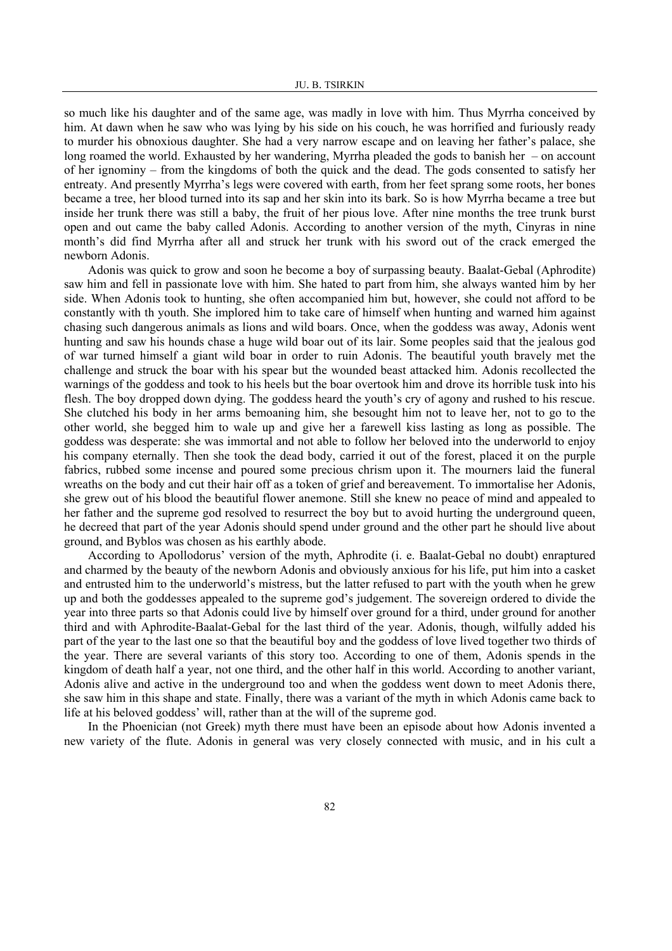so much like his daughter and of the same age, was madly in love with him. Thus Myrrha conceived by him. At dawn when he saw who was lying by his side on his couch, he was horrified and furiously ready to murder his obnoxious daughter. She had a very narrow escape and on leaving her father's palace, she long roamed the world. Exhausted by her wandering, Myrrha pleaded the gods to banish her – on account of her ignominy – from the kingdoms of both the quick and the dead. The gods consented to satisfy her entreaty. And presently Myrrha's legs were covered with earth, from her feet sprang some roots, her bones became a tree, her blood turned into its sap and her skin into its bark. So is how Myrrha became a tree but inside her trunk there was still a baby, the fruit of her pious love. After nine months the tree trunk burst open and out came the baby called Adonis. According to another version of the myth, Cinyras in nine month's did find Myrrha after all and struck her trunk with his sword out of the crack emerged the newborn Adonis.

Adonis was quick to grow and soon he become a boy of surpassing beauty. Baalat-Gebal (Aphrodite) saw him and fell in passionate love with him. She hated to part from him, she always wanted him by her side. When Adonis took to hunting, she often accompanied him but, however, she could not afford to be constantly with th youth. She implored him to take care of himself when hunting and warned him against chasing such dangerous animals as lions and wild boars. Once, when the goddess was away, Adonis went hunting and saw his hounds chase a huge wild boar out of its lair. Some peoples said that the jealous god of war turned himself a giant wild boar in order to ruin Adonis. The beautiful youth bravely met the challenge and struck the boar with his spear but the wounded beast attacked him. Adonis recollected the warnings of the goddess and took to his heels but the boar overtook him and drove its horrible tusk into his flesh. The boy dropped down dying. The goddess heard the youth's cry of agony and rushed to his rescue. She clutched his body in her arms bemoaning him, she besought him not to leave her, not to go to the other world, she begged him to wale up and give her a farewell kiss lasting as long as possible. The goddess was desperate: she was immortal and not able to follow her beloved into the underworld to enjoy his company eternally. Then she took the dead body, carried it out of the forest, placed it on the purple fabrics, rubbed some incense and poured some precious chrism upon it. The mourners laid the funeral wreaths on the body and cut their hair off as a token of grief and bereavement. To immortalise her Adonis, she grew out of his blood the beautiful flower anemone. Still she knew no peace of mind and appealed to her father and the supreme god resolved to resurrect the boy but to avoid hurting the underground queen, he decreed that part of the year Adonis should spend under ground and the other part he should live about ground, and Byblos was chosen as his earthly abode.

According to Apollodorus' version of the myth, Aphrodite (i. e. Baalat-Gebal no doubt) enraptured and charmed by the beauty of the newborn Adonis and obviously anxious for his life, put him into a casket and entrusted him to the underworld's mistress, but the latter refused to part with the youth when he grew up and both the goddesses appealed to the supreme god's judgement. The sovereign ordered to divide the year into three parts so that Adonis could live by himself over ground for a third, under ground for another third and with Aphrodite-Baalat-Gebal for the last third of the year. Adonis, though, wilfully added his part of the year to the last one so that the beautiful boy and the goddess of love lived together two thirds of the year. There are several variants of this story too. According to one of them, Adonis spends in the kingdom of death half a year, not one third, and the other half in this world. According to another variant, Adonis alive and active in the underground too and when the goddess went down to meet Adonis there, she saw him in this shape and state. Finally, there was a variant of the myth in which Adonis came back to life at his beloved goddess' will, rather than at the will of the supreme god.

In the Phoenician (not Greek) myth there must have been an episode about how Adonis invented a new variety of the flute. Adonis in general was very closely connected with music, and in his cult a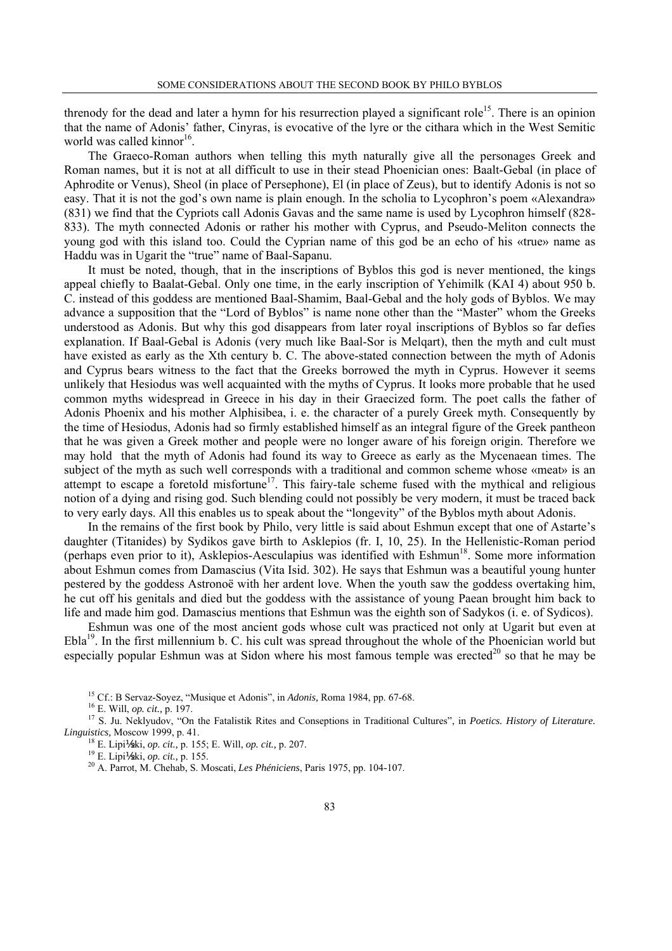threnody for the dead and later a hymn for his resurrection played a significant role<sup>15</sup>. There is an opinion that the name of Adonis' father, Cinyras, is evocative of the lyre or the cithara which in the West Semitic world was called kinnor<sup>16</sup>.

The Graeco-Roman authors when telling this myth naturally give all the personages Greek and Roman names, but it is not at all difficult to use in their stead Phoenician ones: Baalt-Gebal (in place of Aphrodite or Venus), Sheol (in place of Persephone), El (in place of Zeus), but to identify Adonis is not so easy. That it is not the god's own name is plain enough. In the scholia to Lycophron's poem «Alexandra» (831) we find that the Cypriots call Adonis Gavas and the same name is used by Lycophron himself (828- 833). The myth connected Adonis or rather his mother with Cyprus, and Pseudo-Meliton connects the young god with this island too. Could the Cyprian name of this god be an echo of his «true» name as Haddu was in Ugarit the "true" name of Baal-Sapanu.

It must be noted, though, that in the inscriptions of Byblos this god is never mentioned, the kings appeal chiefly to Baalat-Gebal. Only one time, in the early inscription of Yehimilk (KAI 4) about 950 b. C. instead of this goddess are mentioned Baal-Shamim, Baal-Gebal and the holy gods of Byblos. We may advance a supposition that the "Lord of Byblos" is name none other than the "Master" whom the Greeks understood as Adonis. But why this god disappears from later royal inscriptions of Byblos so far defies explanation. If Baal-Gebal is Adonis (very much like Baal-Sor is Melqart), then the myth and cult must have existed as early as the Xth century b. C. The above-stated connection between the myth of Adonis and Cyprus bears witness to the fact that the Greeks borrowed the myth in Cyprus. However it seems unlikely that Hesiodus was well acquainted with the myths of Cyprus. It looks more probable that he used common myths widespread in Greece in his day in their Graecized form. The poet calls the father of Adonis Phoenix and his mother Alphisibea, i. e. the character of a purely Greek myth. Consequently by the time of Hesiodus, Adonis had so firmly established himself as an integral figure of the Greek pantheon that he was given a Greek mother and people were no longer aware of his foreign origin. Therefore we may hold that the myth of Adonis had found its way to Greece as early as the Mycenaean times. The subject of the myth as such well corresponds with a traditional and common scheme whose «meat» is an attempt to escape a foretold misfortune<sup>17</sup>. This fairy-tale scheme fused with the mythical and religious notion of a dying and rising god. Such blending could not possibly be very modern, it must be traced back to very early days. All this enables us to speak about the "longevity" of the Byblos myth about Adonis.

In the remains of the first book by Philo, very little is said about Eshmun except that one of Astarte's daughter (Titanides) by Sydikos gave birth to Asklepios (fr. I, 10, 25). In the Hellenistic-Roman period (perhaps even prior to it), Asklepios-Aesculapius was identified with  $Eshmun^{18}$ . Some more information about Eshmun comes from Damascius (Vita Isid. 302). He says that Eshmun was a beautiful young hunter pestered by the goddess Astronoё with her ardent love. When the youth saw the goddess overtaking him, he cut off his genitals and died but the goddess with the assistance of young Paean brought him back to life and made him god. Damascius mentions that Eshmun was the eighth son of Sadykos (i. e. of Sydicos).

Eshmun was one of the most ancient gods whose cult was practiced not only at Ugarit but even at Ebla19. In the first millennium b. C. his cult was spread throughout the whole of the Phoenician world but especially popular Eshmun was at Sidon where his most famous temple was erected<sup>20</sup> so that he may be

<sup>15</sup> Cf.: B Servaz-Soyez, "Musique et Adonis", in *Adonis*, Roma 1984, pp. 67-68.<br><sup>16</sup> E. Will, *op. cit.*, p. 197.<br><sup>17</sup> S. Ju. Neklyudov, "On the Fatalistik Rites and Conseptions in Traditional Cultures", in *Poetics. Hi* 

<sup>18</sup> E. Lipi **1/2k**i, *op. cit.*, p. 155; E. Will, *op. cit.*, p. 207.<br><sup>19</sup> E. Lipi **1/2k**i, *op. cit.*, p. 155.<br><sup>20</sup> A. Parrot, M. Chehab, S. Moscati, *Les Phéniciens*, Paris 1975, pp. 104-107.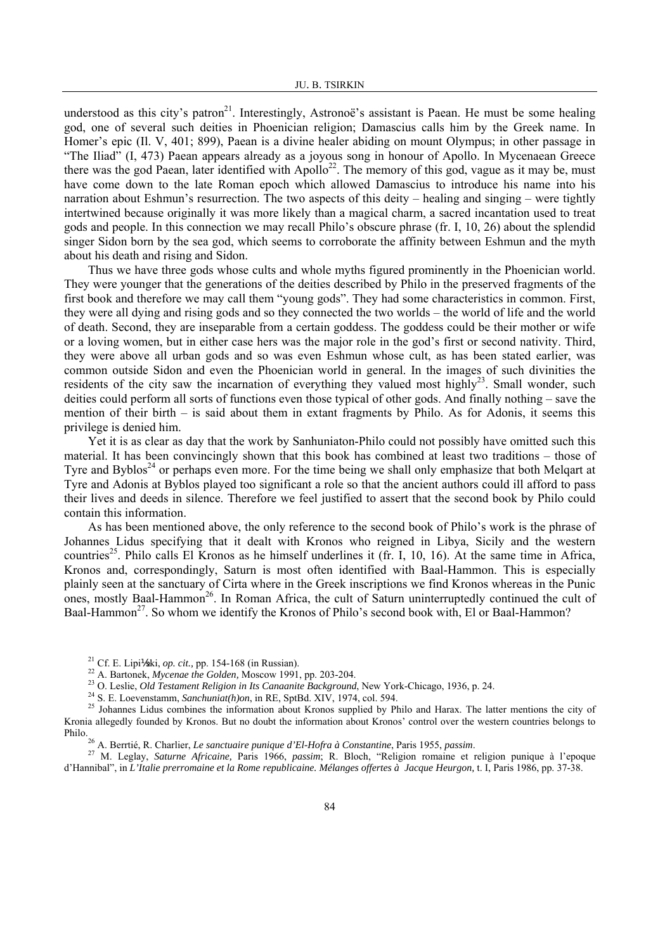understood as this city's patron<sup>21</sup>. Interestingly, Astronoë's assistant is Paean. He must be some healing god, one of several such deities in Phoenician religion; Damascius calls him by the Greek name. In Homer's epic (Il. V, 401; 899), Paean is a divine healer abiding on mount Olympus; in other passage in "The Iliad" (I, 473) Paean appears already as a joyous song in honour of Apollo. In Mycenaean Greece there was the god Paean, later identified with Apollo<sup>22</sup>. The memory of this god, vague as it may be, must have come down to the late Roman epoch which allowed Damascius to introduce his name into his narration about Eshmun's resurrection. The two aspects of this deity – healing and singing – were tightly intertwined because originally it was more likely than a magical charm, a sacred incantation used to treat gods and people. In this connection we may recall Philo's obscure phrase (fr. I, 10, 26) about the splendid singer Sidon born by the sea god, which seems to corroborate the affinity between Eshmun and the myth about his death and rising and Sidon.

Thus we have three gods whose cults and whole myths figured prominently in the Phoenician world. They were younger that the generations of the deities described by Philo in the preserved fragments of the first book and therefore we may call them "young gods". They had some characteristics in common. First, they were all dying and rising gods and so they connected the two worlds – the world of life and the world of death. Second, they are inseparable from a certain goddess. The goddess could be their mother or wife or a loving women, but in either case hers was the major role in the god's first or second nativity. Third, they were above all urban gods and so was even Eshmun whose cult, as has been stated earlier, was common outside Sidon and even the Phoenician world in general. In the images of such divinities the residents of the city saw the incarnation of everything they valued most highly<sup>23</sup>. Small wonder, such deities could perform all sorts of functions even those typical of other gods. And finally nothing – save the mention of their birth – is said about them in extant fragments by Philo. As for Adonis, it seems this privilege is denied him.

Yet it is as clear as day that the work by Sanhuniaton-Philo could not possibly have omitted such this material. It has been convincingly shown that this book has combined at least two traditions – those of Tyre and Byblos<sup>24</sup> or perhaps even more. For the time being we shall only emphasize that both Melqart at Tyre and Adonis at Byblos played too significant a role so that the ancient authors could ill afford to pass their lives and deeds in silence. Therefore we feel justified to assert that the second book by Philo could contain this information.

As has been mentioned above, the only reference to the second book of Philo's work is the phrase of Johannes Lidus specifying that it dealt with Kronos who reigned in Libya, Sicily and the western countries<sup>25</sup>. Philo calls El Kronos as he himself underlines it (fr. I, 10, 16). At the same time in Africa, Kronos and, correspondingly, Saturn is most often identified with Baal-Hammon. This is especially plainly seen at the sanctuary of Cirta where in the Greek inscriptions we find Kronos whereas in the Punic ones, mostly Baal-Hammon<sup>26</sup>. In Roman Africa, the cult of Saturn uninterruptedly continued the cult of Baal-Hammon<sup>27</sup>. So whom we identify the Kronos of Philo's second book with, El or Baal-Hammon?

<sup>&</sup>lt;sup>21</sup> Cf. E. Lipi<sup>1</sup> kki, *op. cit.*, pp. 154-168 (in Russian).<br><sup>22</sup> A. Bartonek, *Mycenae the Golden*, Moscow 1991, pp. 203-204.<br><sup>23</sup> O. Leslie, *Old Testament Religion in Its Canaanite Background*, New York-Chicago, 1936 Kronia allegedly founded by Kronos. But no doubt the information about Kronos' control over the western countries belongs to Philo.<br><sup>26</sup> A. Berrtié, R. Charlier, *Le sanctuaire punique d'El-Hofra à Constantine*, Paris 1955, *passim*.<br><sup>27</sup> M. Leglay, *Saturne Africaine*, Paris 1966, *passim*; R. Bloch, "Religion romaine et religion punique à l'ep

d'Hannibal", in *L'Italie prerromaine et la Rome republicaine. Mélanges offertes à Jacque Heurgon*, t. I, Paris 1986, pp. 37-38.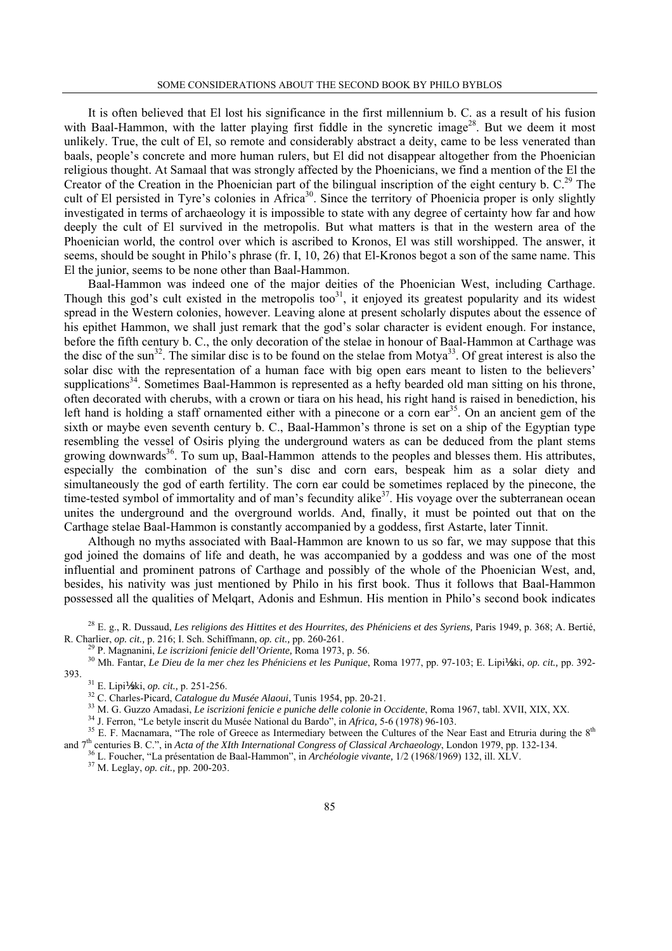It is often believed that El lost his significance in the first millennium b. C. as a result of his fusion with Baal-Hammon, with the latter playing first fiddle in the syncretic image<sup>28</sup>. But we deem it most unlikely. True, the cult of El, so remote and considerably abstract a deity, came to be less venerated than baals, people's concrete and more human rulers, but El did not disappear altogether from the Phoenician religious thought. At Samaal that was strongly affected by the Phoenicians, we find a mention of the El the Creator of the Creation in the Phoenician part of the bilingual inscription of the eight century b. C.<sup>29</sup> The cult of El persisted in Tyre's colonies in Africa<sup>30</sup>. Since the territory of Phoenicia proper is only slightly investigated in terms of archaeology it is impossible to state with any degree of certainty how far and how deeply the cult of El survived in the metropolis. But what matters is that in the western area of the Phoenician world, the control over which is ascribed to Kronos, El was still worshipped. The answer, it seems, should be sought in Philo's phrase (fr. I, 10, 26) that El-Kronos begot a son of the same name. This El the junior, seems to be none other than Baal-Hammon.

Baal-Hammon was indeed one of the major deities of the Phoenician West, including Carthage. Though this god's cult existed in the metropolis too $31$ , it enjoyed its greatest popularity and its widest spread in the Western colonies, however. Leaving alone at present scholarly disputes about the essence of his epithet Hammon, we shall just remark that the god's solar character is evident enough. For instance, before the fifth century b. C., the only decoration of the stelae in honour of Baal-Hammon at Carthage was the disc of the sun<sup>32</sup>. The similar disc is to be found on the stelae from Motya<sup>33</sup>. Of great interest is also the solar disc with the representation of a human face with big open ears meant to listen to the believers' supplications<sup>34</sup>. Sometimes Baal-Hammon is represented as a hefty bearded old man sitting on his throne, often decorated with cherubs, with a crown or tiara on his head, his right hand is raised in benediction, his left hand is holding a staff ornamented either with a pinecone or a corn ear<sup>35</sup>. On an ancient gem of the sixth or maybe even seventh century b. C., Baal-Hammon's throne is set on a ship of the Egyptian type resembling the vessel of Osiris plying the underground waters as can be deduced from the plant stems growing downwards<sup>36</sup>. To sum up, Baal-Hammon attends to the peoples and blesses them. His attributes, especially the combination of the sun's disc and corn ears, bespeak him as a solar diety and simultaneously the god of earth fertility. The corn ear could be sometimes replaced by the pinecone, the time-tested symbol of immortality and of man's fecundity alike<sup>37</sup>. His voyage over the subterranean ocean unites the underground and the overground worlds. And, finally, it must be pointed out that on the Carthage stelae Baal-Hammon is constantly accompanied by a goddess, first Astarte, later Tinnit.

Although no myths associated with Baal-Hammon are known to us so far, we may suppose that this god joined the domains of life and death, he was accompanied by a goddess and was one of the most influential and prominent patrons of Carthage and possibly of the whole of the Phoenician West, and, besides, his nativity was just mentioned by Philo in his first book. Thus it follows that Baal-Hammon possessed all the qualities of Melqart, Adonis and Eshmun. His mention in Philo's second book indicates

<sup>&</sup>lt;sup>28</sup> E. g., R. Dussaud, *Les religions des Hittites et des Hourrites, des Phéniciens et des Syriens*, Paris 1949, p. 368; A. Bertié, R. Charlier, *op. cit.*, p. 216; I. Sch. Schiffmann, *op. cit.*, pp. 260-261.

<sup>&</sup>lt;sup>29</sup> P. Magnanini, *Le iscrizioni fenicie dell'Oriente*, Roma 1973, p. 56.<br><sup>30</sup> Mh. Fantar, *Le Dieu de la mer chez les Phéniciens et les Punique*, Roma 1977, pp. 97-103; E. Lipi<sup>1</sup>⁄ski, *op. cit.*, pp. 392-393.

<sup>&</sup>lt;sup>31</sup> E. Lipi **14k**i, *op. cit.*, p. 251-256.<br><sup>32</sup> C. Charles-Picard, *Catalogue du Musée Alaoui*, Tunis 1954, pp. 20-21.<br><sup>33</sup> M. G. Guzzo Amadasi, *Le iscrizioni fenicie e puniche delle colonie in Occidente*, Roma 1967, t and  $7^{\text{th}}$  centuries B. C.", in Acta of the XIth International Congress of Classical Archaeology, London 1979, pp. 132-134.<br><sup>36</sup> L. Foucher, "La présentation de Baal-Hammon", in Archéologie vivante, 1/2 (1968/1969) 132